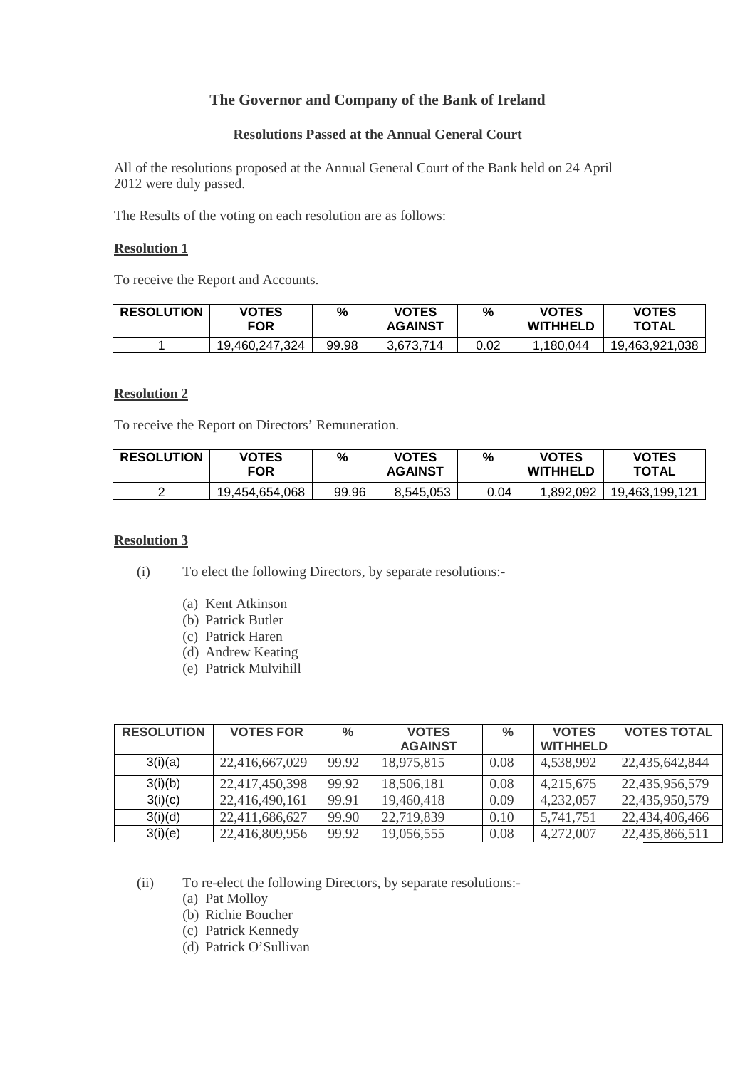# **The Governor and Company of the Bank of Ireland**

# **Resolutions Passed at the Annual General Court**

All of the resolutions proposed at the Annual General Court of the Bank held on 24 April 2012 were duly passed.

The Results of the voting on each resolution are as follows:

## **Resolution 1**

To receive the Report and Accounts.

| <b>RESOLUTION</b> | <b>VOTES</b><br>FOR | %     | <b>VOTES</b><br>AGAINST | %    | <b>VOTES</b><br><b>WITHHELD</b> | <b>VOTES</b><br><b>TOTAL</b> |
|-------------------|---------------------|-------|-------------------------|------|---------------------------------|------------------------------|
|                   | 19,460,247,324      | 99.98 | 3.673.714               | 0.02 | 1.180.044                       | 19,463,921,038               |

## **Resolution 2**

To receive the Report on Directors' Remuneration.

| <b>RESOLUTION</b> | VOTES<br>FOR   | %     | <b>VOTES</b><br><b>AGAINST</b> | %    | <b>VOTES</b><br><b>WITHHELD</b> | <b>VOTES</b><br><b>TOTAL</b> |
|-------------------|----------------|-------|--------------------------------|------|---------------------------------|------------------------------|
| ົ                 | 19,454,654,068 | 99.96 | 8.545.053                      | 0.04 | 1.892.092                       | 19,463,199,121               |

# **Resolution 3**

- (i) To elect the following Directors, by separate resolutions:-
	- (a) Kent Atkinson
	- (b) Patrick Butler
	- (c) Patrick Haren
	- (d) Andrew Keating
	- (e) Patrick Mulvihill

| <b>RESOLUTION</b> | <b>VOTES FOR</b> | $\frac{0}{0}$ | <b>VOTES</b>   | $\frac{0}{2}$ | <b>VOTES</b>    | <b>VOTES TOTAL</b> |
|-------------------|------------------|---------------|----------------|---------------|-----------------|--------------------|
|                   |                  |               | <b>AGAINST</b> |               | <b>WITHHELD</b> |                    |
| 3(i)(a)           | 22,416,667,029   | 99.92         | 18,975,815     | 0.08          | 4,538,992       | 22,435,642,844     |
| 3(i)(b)           | 22,417,450,398   | 99.92         | 18,506,181     | 0.08          | 4,215,675       | 22,435,956,579     |
| 3(i)(c)           | 22,416,490,161   | 99.91         | 19,460,418     | 0.09          | 4,232,057       | 22,435,950,579     |
| 3(i)(d)           | 22,411,686,627   | 99.90         | 22,719,839     | 0.10          | 5,741,751       | 22,434,406,466     |
| 3(i)(e)           | 22,416,809,956   | 99.92         | 19,056,555     | 0.08          | 4,272,007       | 22,435,866,511     |

(ii) To re-elect the following Directors, by separate resolutions:-

- (a) Pat Molloy
- (b) Richie Boucher
- (c) Patrick Kennedy
- (d) Patrick O'Sullivan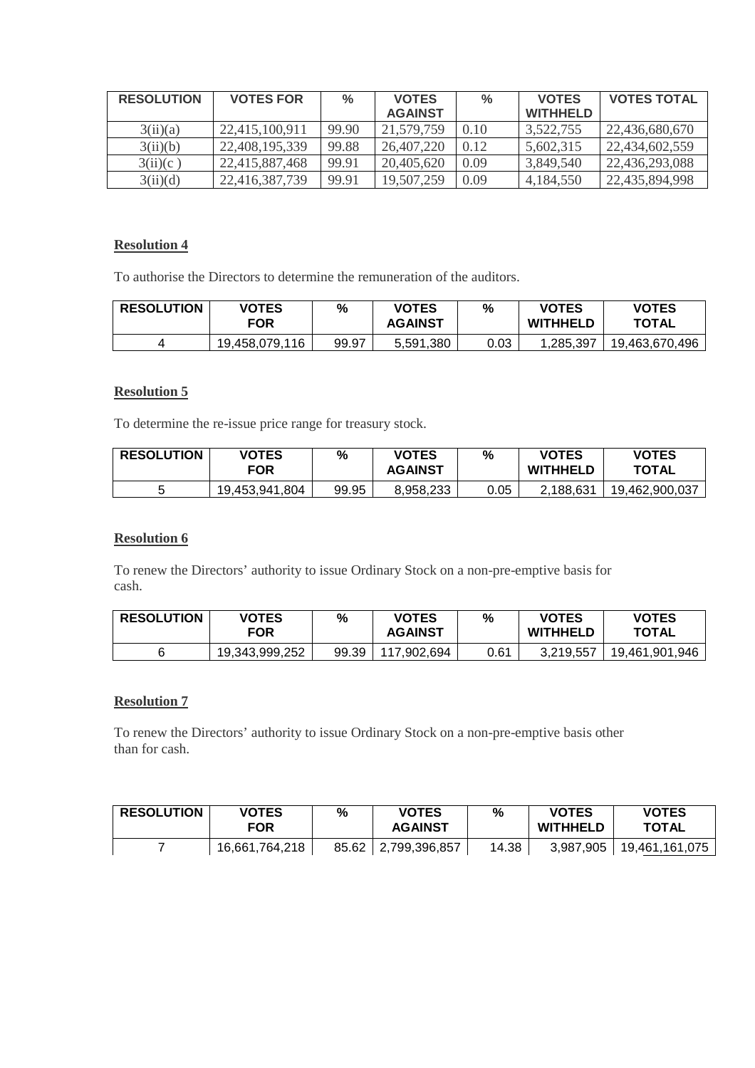| <b>RESOLUTION</b> | <b>VOTES FOR</b> | ℅     | <b>VOTES</b><br><b>AGAINST</b> | $\frac{0}{0}$ | <b>VOTES</b><br><b>WITHHELD</b> | <b>VOTES TOTAL</b> |
|-------------------|------------------|-------|--------------------------------|---------------|---------------------------------|--------------------|
| 3(ii)(a)          | 22,415,100,911   | 99.90 | 21,579,759                     | 0.10          | 3,522,755                       | 22,436,680,670     |
| 3(ii)(b)          | 22,408,195,339   | 99.88 | 26,407,220                     | 0.12          | 5,602,315                       | 22,434,602,559     |
| 3(ii)(c)          | 22,415,887,468   | 99.91 | 20,405,620                     | 0.09          | 3,849,540                       | 22,436,293,088     |
| 3(ii)(d)          | 22,416,387,739   | 99.91 | 19,507,259                     | 0.09          | 4,184,550                       | 22,435,894,998     |

# **Resolution 4**

To authorise the Directors to determine the remuneration of the auditors.

| <b>RESOLUTION</b> | VOTES<br><b>FOR</b> | %     | <b>VOTES</b><br><b>AGAINST</b> | %    | <b>VOTES</b><br><b>WITHHELD</b> | <b>VOTES</b><br><b>TOTAL</b> |
|-------------------|---------------------|-------|--------------------------------|------|---------------------------------|------------------------------|
|                   | 19,458,079,116      | 99.97 | 5,591,380                      | 0.03 | 1.285.397                       | 19,463,670,496               |

# **Resolution 5**

To determine the re-issue price range for treasury stock.

| <b>RESOLUTION</b> | <b>VOTES</b><br>FOR | %     | <b>VOTES</b><br><b>AGAINST</b> | %    | <b>VOTES</b><br><b>WITHHELD</b> | <b>VOTES</b><br><b>TOTAL</b> |
|-------------------|---------------------|-------|--------------------------------|------|---------------------------------|------------------------------|
| J                 | 19,453,941,804      | 99.95 | 8,958,233                      | 0.05 | 2.188.631                       | 19,462,900,037               |

# **Resolution 6**

To renew the Directors' authority to issue Ordinary Stock on a non-pre-emptive basis for cash.

| <b>RESOLUTION</b> | VOTES<br>FOR   | %     | <b>VOTES</b><br><b>AGAINST</b> | %    | <b>VOTES</b><br><b>WITHHELD</b> | <b>VOTES</b><br><b>TOTAL</b> |
|-------------------|----------------|-------|--------------------------------|------|---------------------------------|------------------------------|
| 6                 | 19,343,999,252 | 99.39 | 117.902.694                    | 0.61 | 3.219.557                       | 19,461,901,946               |

## **Resolution 7**

To renew the Directors' authority to issue Ordinary Stock on a non-pre-emptive basis other than for cash.

| <b>RESOLUTION</b> | <b>VOTES</b><br>FOR | %     | <b>VOTES</b><br><b>AGAINST</b> | %     | <b>VOTES</b><br><b>WITHHELD</b> | <b>VOTES</b><br><b>TOTAL</b> |
|-------------------|---------------------|-------|--------------------------------|-------|---------------------------------|------------------------------|
|                   | 16.661.764.218      | 85.62 | 2.799.396.857                  | 14.38 | 3.987.905                       | 19,461,161,075               |